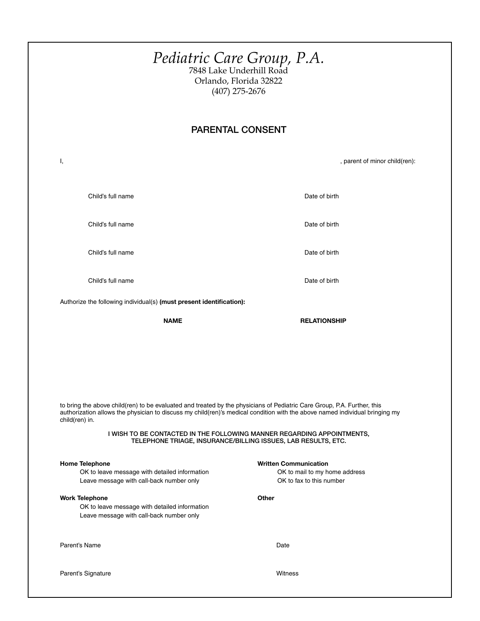|                                                                                                                                                                | Pediatric Care Group, P.A.<br><sup>7848 Lake Underhill Road</sup><br>Orlando, Florida 32822<br>$(407)$ 275-2676                                                                                                                                                        |
|----------------------------------------------------------------------------------------------------------------------------------------------------------------|------------------------------------------------------------------------------------------------------------------------------------------------------------------------------------------------------------------------------------------------------------------------|
| <b>PARENTAL CONSENT</b>                                                                                                                                        |                                                                                                                                                                                                                                                                        |
| Ι,                                                                                                                                                             | , parent of minor child(ren):                                                                                                                                                                                                                                          |
| Child's full name                                                                                                                                              | Date of birth                                                                                                                                                                                                                                                          |
| Child's full name                                                                                                                                              | Date of birth                                                                                                                                                                                                                                                          |
| Child's full name                                                                                                                                              | Date of birth                                                                                                                                                                                                                                                          |
| Child's full name                                                                                                                                              | Date of birth                                                                                                                                                                                                                                                          |
| Authorize the following individual(s) (must present identification):                                                                                           |                                                                                                                                                                                                                                                                        |
| <b>NAME</b>                                                                                                                                                    | <b>RELATIONSHIP</b>                                                                                                                                                                                                                                                    |
| to bring the above child(ren) to be evaluated and treated by the physicians of Pediatric Care Group, P.A. Further, this<br>child(ren) in.                      | authorization allows the physician to discuss my child(ren)'s medical condition with the above named individual bringing my<br>I WISH TO BE CONTACTED IN THE FOLLOWING MANNER REGARDING APPOINTMENTS,<br>TELEPHONE TRIAGE, INSURANCE/BILLING ISSUES, LAB RESULTS, ETC. |
| <b>Home Telephone</b><br>OK to leave message with detailed information                                                                                         | <b>Written Communication</b><br>OK to mail to my home address                                                                                                                                                                                                          |
| Leave message with call-back number only<br><b>Work Telephone</b><br>OK to leave message with detailed information<br>Leave message with call-back number only | OK to fax to this number<br>Other                                                                                                                                                                                                                                      |
| Parent's Name                                                                                                                                                  | Date                                                                                                                                                                                                                                                                   |
| Parent's Signature                                                                                                                                             | Witness                                                                                                                                                                                                                                                                |